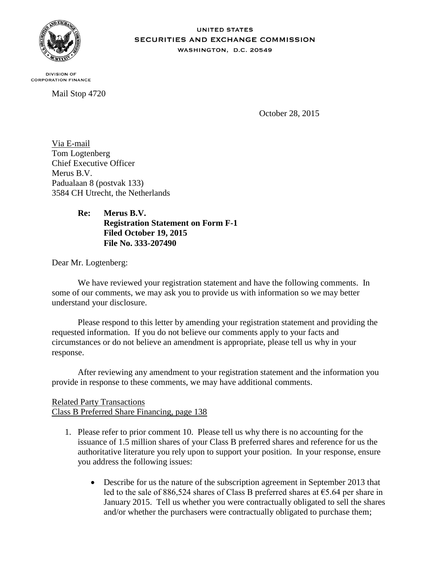

#### **UNITED STATES** SECURITIES AND EXCHANGE COMMISSION WASHINGTON, D.C. 20549

**DIVISION OF CORPORATION FINANCE** 

Mail Stop 4720

October 28, 2015

Via E-mail Tom Logtenberg Chief Executive Officer Merus B.V. Padualaan 8 (postvak 133) 3584 CH Utrecht, the Netherlands

## **Re: Merus B.V. Registration Statement on Form F-1 Filed October 19, 2015 File No. 333-207490**

Dear Mr. Logtenberg:

We have reviewed your registration statement and have the following comments. In some of our comments, we may ask you to provide us with information so we may better understand your disclosure.

Please respond to this letter by amending your registration statement and providing the requested information. If you do not believe our comments apply to your facts and circumstances or do not believe an amendment is appropriate, please tell us why in your response.

After reviewing any amendment to your registration statement and the information you provide in response to these comments, we may have additional comments.

# Related Party Transactions Class B Preferred Share Financing, page 138

- 1. Please refer to prior comment 10. Please tell us why there is no accounting for the issuance of 1.5 million shares of your Class B preferred shares and reference for us the authoritative literature you rely upon to support your position. In your response, ensure you address the following issues:
	- Describe for us the nature of the subscription agreement in September 2013 that led to the sale of 886,524 shares of Class B preferred shares at €5.64 per share in January 2015. Tell us whether you were contractually obligated to sell the shares and/or whether the purchasers were contractually obligated to purchase them;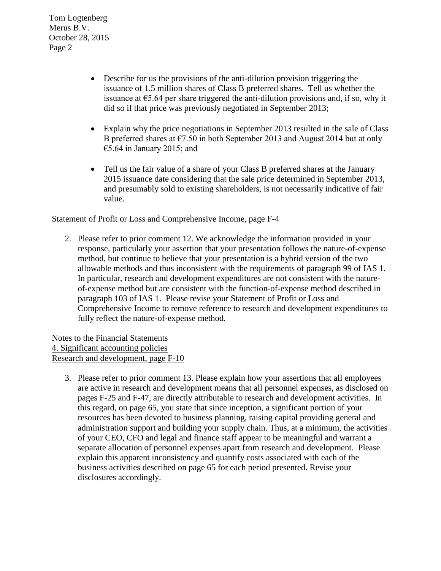Tom Logtenberg Merus B.V. October 28, 2015 Page 2

- Describe for us the provisions of the anti-dilution provision triggering the issuance of 1.5 million shares of Class B preferred shares. Tell us whether the issuance at  $\epsilon$ 5.64 per share triggered the anti-dilution provisions and, if so, why it did so if that price was previously negotiated in September 2013;
- Explain why the price negotiations in September 2013 resulted in the sale of Class B preferred shares at  $\epsilon$ 7.50 in both September 2013 and August 2014 but at only  $\epsilon$ 5.64 in January 2015; and
- Tell us the fair value of a share of your Class B preferred shares at the January 2015 issuance date considering that the sale price determined in September 2013, and presumably sold to existing shareholders, is not necessarily indicative of fair value.

#### Statement of Profit or Loss and Comprehensive Income, page F-4

2. Please refer to prior comment 12. We acknowledge the information provided in your response, particularly your assertion that your presentation follows the nature-of-expense method, but continue to believe that your presentation is a hybrid version of the two allowable methods and thus inconsistent with the requirements of paragraph 99 of IAS 1. In particular, research and development expenditures are not consistent with the natureof-expense method but are consistent with the function-of-expense method described in paragraph 103 of IAS 1. Please revise your Statement of Profit or Loss and Comprehensive Income to remove reference to research and development expenditures to fully reflect the nature-of-expense method.

Notes to the Financial Statements 4. Significant accounting policies Research and development, page F-10

3. Please refer to prior comment 13. Please explain how your assertions that all employees are active in research and development means that all personnel expenses, as disclosed on pages F-25 and F-47, are directly attributable to research and development activities. In this regard, on page 65, you state that since inception, a significant portion of your resources has been devoted to business planning, raising capital providing general and administration support and building your supply chain. Thus, at a minimum, the activities of your CEO, CFO and legal and finance staff appear to be meaningful and warrant a separate allocation of personnel expenses apart from research and development. Please explain this apparent inconsistency and quantify costs associated with each of the business activities described on page 65 for each period presented. Revise your disclosures accordingly.